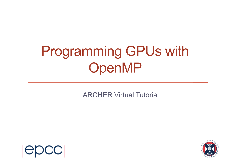# Programming GPUs with OpenMP

ARCHER Virtual Tutorial



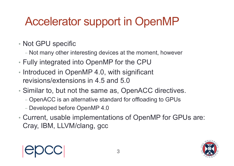# Accelerator support in OpenMP

- Not GPU specific
	- Not many other interesting devices at the moment, however
- Fully integrated into OpenMP for the CPU
- Introduced in OpenMP 4.0, with significant revisions/extensions in 4.5 and 5.0
- Similar to, but not the same as, OpenACC directives.
	- OpenACC is an alternative standard for offloading to GPUs
	- Developed before OpenMP 4.0
- Current, usable implementations of OpenMP for GPUs are: Cray, IBM, LLVM/clang, gcc



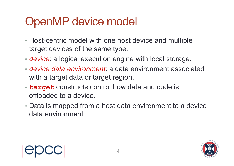### OpenMP device model

- Host-centric model with one host device and multiple target devices of the same type.
- *device*: a logical execution engine with local storage.
- *device data environment*: a data environment associated with a target data or target region.
- **target** constructs control how data and code is offloaded to a device.
- Data is mapped from a host data environment to a device data environment.



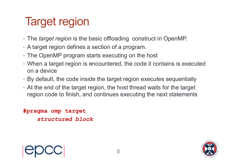# Target region

- The *target region* is the basic offloading construct in OpenMP.
- A target region defines a section of a program.
- The OpenMP program starts executing on the host
- When a target region is encountered, the code it contains is executed on a device
- By default, the code inside the target region executes sequentially
- At the end of the target region, the host thread waits for the target region code to finish, and continues executing the next statements

**#pragma omp target** *structured block*

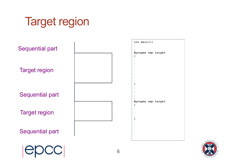# Target region





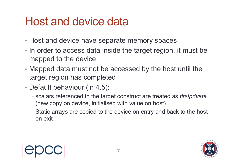#### Host and device data

- Host and device have separate memory spaces
- In order to access data inside the target region, it must be mapped to the device.
- Mapped data must not be accessed by the host until the target region has completed
- Default behaviour (in 4.5):
	- scalars referenced in the target construct are treated as *firstprivate* (new copy on device, initialised with value on host)
	- Static arrays are copied to the device on entry and back to the host on exit

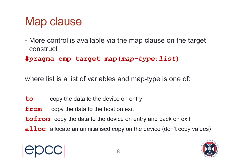# Map clause

• More control is available via the map clause on the target construct

**#pragma omp target map(***map-type***:***list***)**

where list is a list of variables and map-type is one of:

- **to** copy the data to the device on entry
- **from** copy the data to the host on exit
- **tofrom** copy the data to the device on entry and back on exit
- **alloc** allocate an uninitialised copy on the device (don't copy values)

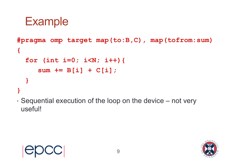#### **Example**

```
#pragma omp target map(to:B,C), map(tofrom:sum)
{
  for (int i=0; i<N; i++){
     sum += B[i] + C[i];
  }
}
```
• Sequential execution of the loop on the device – not very useful!



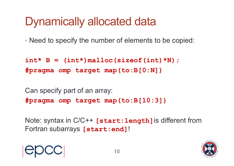# Dynamically allocated data

• Need to specify the number of elements to be copied:

 $int* B = (int*)$  malloc (sizeof(int) \*N); **#pragma omp target map(to:B[0:N])**

Can specify part of an array: **#pragma omp target map(to:B[10:3])**

Note: syntax in C/C++ **[start:length]**is different from Fortran subarrays **[start:end]**!



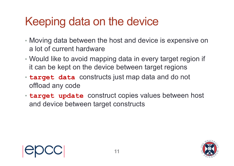# Keeping data on the device

- Moving data between the host and device is expensive on a lot of current hardware
- Would like to avoid mapping data in every target region if it can be kept on the device between target regions
- **target data** constructs just map data and do not offload any code
- **target update** construct copies values between host and device between target constructs

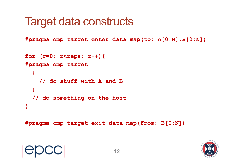#### Target data constructs

**#pragma omp target enter data map(to: A[0:N],B[0:N])**

```
for (r=0; r<reps; r++) {
#pragma omp target 
  {
    // do stuff with A and B
  } 
  // do something on the host 
}
```
**#pragma omp target exit data map(from: B[0:N])**

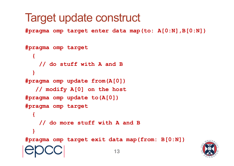### Target update construct

**#pragma omp target enter data map(to: A[0:N],B[0:N])**

```
#pragma omp target 
  {
    // do stuff with A and B
  } 
#pragma omp update from(A[0])
   // modify A[0] on the host 
#pragma omp update to(A[0])
#pragma omp target 
  {
    // do more stuff with A and B
  } 
#pragma omp target exit data map(from: B[0:N])
                           13
```
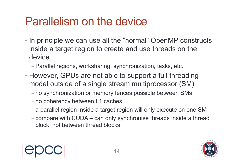#### Parallelism on the device

- In principle we can use all the "normal" OpenMP constructs inside a target region to create and use threads on the device
	- Parallel regions, worksharing, synchronization, tasks, etc.
- However, GPUs are not able to support a full threading model outside of a single stream multiprocessor (SM)
	- no synchronization or memory fences possible between SMs
	- no coherency between L1 caches
	- a parallel region inside a target region will only execute on one SM
	- compare with CUDA can only synchronise threads inside a thread block, not between thread blocks



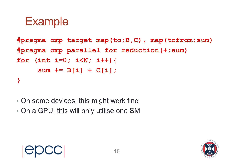#### **Example**

```
#pragma omp target map(to:B,C), map(tofrom:sum)
#pragma omp parallel for reduction(+:sum)
for (int i=0; i<N; i++){
     sum += B[i] + C[i];
}
```
- On some devices, this might work fine
- On a GPU, this will only utilise one SM

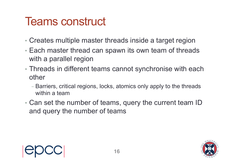#### Teams construct

- Creates multiple master threads inside a target region
- Each master thread can spawn its own team of threads with a parallel region
- Threads in different teams cannot synchronise with each other
	- Barriers, critical regions, locks, atomics only apply to the threads within a team
- Can set the number of teams, query the current team ID and query the number of teams

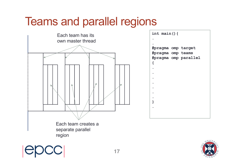### Teams and parallel regions



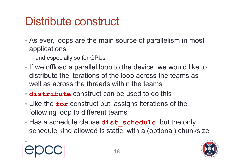# Distribute construct

- As ever, loops are the main source of parallelism in most applications
	- and especially so for GPUs
- If we offload a parallel loop to the device, we would like to distribute the iterations of the loop across the teams as well as across the threads within the teams
- **distribute** construct can be used to do this
- Like the **for** construct but, assigns iterations of the following loop to different teams
- Has a schedule clause **dist schedule**, but the only schedule kind allowed is static, with a (optional) chunksize

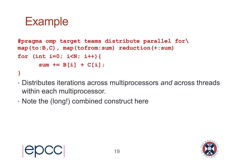#### **Example**

```
#pragma omp target teams distribute parallel for\
map(to:B,C), map(tofrom:sum) reduction(+:sum)
for (int i=0; i<N; i++){
      sum += B[i] + C[i];
}
```
- Distributes iterations across multiprocessors *and* across threads within each multiprocessor.
- Note the (long!) combined construct here

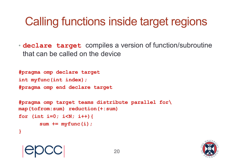# Calling functions inside target regions

• **declare target** compiles a version of function/subroutine that can be called on the device

**20**

```
#pragma omp declare target
int myfunc(int index); 
#pragma omp end declare target
```

```
#pragma omp target teams distribute parallel for\
map(tofrom:sum) reduction(+:sum)
for (int i=0; i<N; i++){
       sum += myfunc(i);
}
```
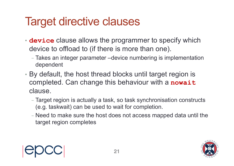# Target directive clauses

- **device** clause allows the programmer to specify which device to offload to (if there is more than one).
	- Takes an integer parameter –device numbering is implementation dependent
- By default, the host thread blocks until target region is completed. Can change this behaviour with a **nowait** clause.
	- Target region is actually a task, so task synchronisation constructs (e.g. taskwait) can be used to wait for completion.
	- Need to make sure the host does not access mapped data until the target region completes



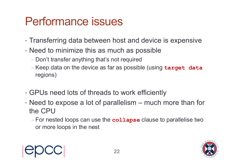# Performance issues

- Transferring data between host and device is expensive
- Need to minimize this as much as possible
	- Don't transfer anything that's not required
	- Keep data on the device as far as possible (using **target data**  regions)
- GPUs need lots of threads to work efficiently
- Need to expose a lot of parallelism much more than for the CPU
	- For nested loops can use the **collapse** clause to parallelise two or more loops in the nest



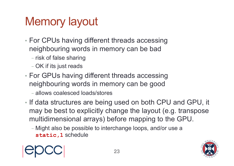# Memory layout

- For CPUs having different threads accessing neighbouring words in memory can be bad
	- risk of false sharing
	- OK if its just reads
- For GPUs having different threads accessing neighbouring words in memory can be good
	- allows coalesced loads/stores
- If data structures are being used on both CPU and GPU, it may be best to explicitly change the layout (e.g. transpose multidimensional arrays) before mapping to the GPU.
	- Might also be possible to interchange loops, and/or use a **static,1** schedule